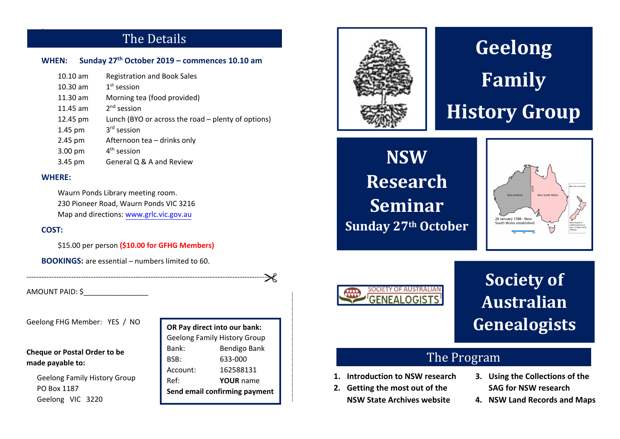# The Details

### **WHEN: Sunday 27th October 2019 – commences 10.10 am**

| $10.10$ am | <b>Registration and Book Sales</b>                 |
|------------|----------------------------------------------------|
| $10.30$ am | $1st$ session                                      |
| $11.30$ am | Morning tea (food provided)                        |
| 11.45 am   | $2nd$ session                                      |
| 12.45 pm   | Lunch (BYO or across the road - plenty of options) |
| 1.45 pm    | 3 <sup>rd</sup> session                            |
| 2.45 pm    | Afternoon tea - drinks only                        |
| 3.00 pm    | $4th$ session                                      |
| 3.45 pm    | General Q & A and Review                           |

### **WHERE:**

Π

Waurn Ponds Library meeting room. 230 Pioneer Road, Waurn Ponds VIC 3216 Map and directions: www.grlc.vic.gov.au

### **COST:**

\$15.00 per person **(\$10.00 for GFHG Members)**

‐‐‐‐‐‐‐‐‐‐‐‐‐‐‐‐‐‐‐‐‐‐‐‐‐‐‐‐‐‐‐‐‐‐‐‐‐‐‐‐‐‐‐‐‐‐‐‐‐‐‐‐‐‐‐‐‐‐‐‐‐‐‐‐‐‐‐‐‐‐‐‐‐‐‐‐‐‐‐‐‐‐‐‐‐‐‐‐‐‐‐‐‐‐‐‐‐‐‐‐

**BOOKINGS:** are essential – numbers limited to 60.

AMOUNT PAID: \$\_\_\_\_\_\_\_\_\_\_\_\_\_\_\_\_

Geelong FHG Member: YES / NO

### **Cheque or Postal Order to be made payable to:**

Geelong Family History Group PO Box 1187 Geelong VIC 3220

**OR Pay direct into our bank:**  Geelong Family History Group Bank: Bendigo Bank BSB: 633‐000 Account: 162588131 Ref: **YOUR** name **Send email confirming payment**



# **Geelong Family History Group**

**NSWResearch SeminarSunday 27th October**





**Society of Australian Genealogists**

- 
- ‐‐‐‐‐‐‐‐‐‐‐‐‐‐‐‐‐‐‐‐‐‐‐‐‐‐‐‐‐‐‐‐‐‐‐‐‐‐‐‐‐‐‐‐‐‐‐‐‐‐‐‐‐‐‐‐‐‐‐‐‐ **1. Introduction to NSW research 2. Getting the most out of the NSW State Archives website**
	- **3. Introduction to NSW research 3. Using the Collections of the**<br>**2.** Getting the most out of the **SAG for NSW research** NSW State Archives website **4.** NSW Land Records and Maps
		-